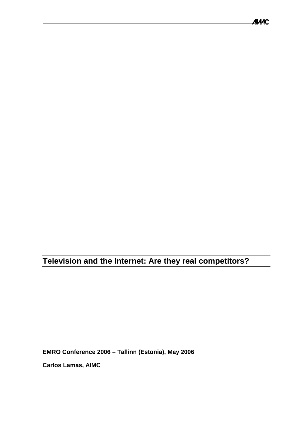**Television and the Internet: Are they real competitors?** 

**EMRO Conference 2006 – Tallinn (Estonia), May 2006** 

**Carlos Lamas, AIMC**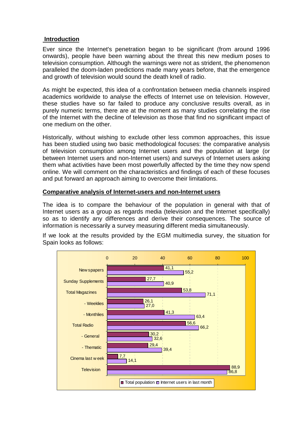### **Introduction**

Ever since the Internet's penetration began to be significant (from around 1996 onwards), people have been warning about the threat this new medium poses to television consumption. Although the warnings were not as strident, the phenomenon paralleled the doom-laden predictions made many years before, that the emergence and growth of television would sound the death knell of radio.

As might be expected, this idea of a confrontation between media channels inspired academics worldwide to analyse the effects of Internet use on television. However, these studies have so far failed to produce any conclusive results overall, as in purely numeric terms, there are at the moment as many studies correlating the rise of the Internet with the decline of television as those that find no significant impact of one medium on the other.

Historically, without wishing to exclude other less common approaches, this issue has been studied using two basic methodological focuses: the comparative analysis of television consumption among Internet users and the population at large (or between Internet users and non-Internet users) and surveys of Internet users asking them what activities have been most powerfully affected by the time they now spend online. We will comment on the characteristics and findings of each of these focuses and put forward an approach aiming to overcome their limitations.

#### **Comparative analysis of Internet-users and non-Internet users**

The idea is to compare the behaviour of the population in general with that of Internet users as a group as regards media (television and the Internet specifically) so as to identify any differences and derive their consequences. The source of information is necessarily a survey measuring different media simultaneously.

If we look at the results provided by the EGM multimedia survey, the situation for Spain looks as follows:

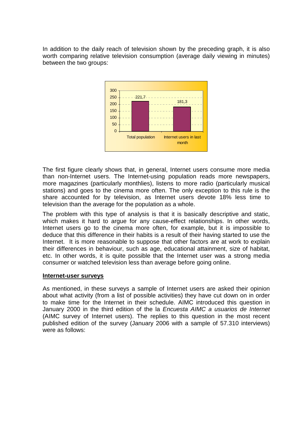In addition to the daily reach of television shown by the preceding graph, it is also worth comparing relative television consumption (average daily viewing in minutes) between the two groups:



The first figure clearly shows that, in general, Internet users consume more media than non-Internet users. The Internet-using population reads more newspapers, more magazines (particularly monthlies), listens to more radio (particularly musical stations) and goes to the cinema more often. The only exception to this rule is the share accounted for by television, as Internet users devote 18% less time to television than the average for the population as a whole.

The problem with this type of analysis is that it is basically descriptive and static, which makes it hard to argue for any cause-effect relationships. In other words, Internet users go to the cinema more often, for example, but it is impossible to deduce that this difference in their habits is a result of their having started to use the Internet. It is more reasonable to suppose that other factors are at work to explain their differences in behaviour, such as age, educational attainment, size of habitat, etc. In other words, it is quite possible that the Internet user was a strong media consumer or watched television less than average before going online.

#### **Internet-user surveys**

As mentioned, in these surveys a sample of Internet users are asked their opinion about what activity (from a list of possible activities) they have cut down on in order to make time for the Internet in their schedule. AIMC introduced this question in January 2000 in the third edition of the la *Encuesta AIMC a usuarios de Internet* (AIMC survey of Internet users). The replies to this question in the most recent published edition of the survey (January 2006 with a sample of 57.310 interviews) were as follows: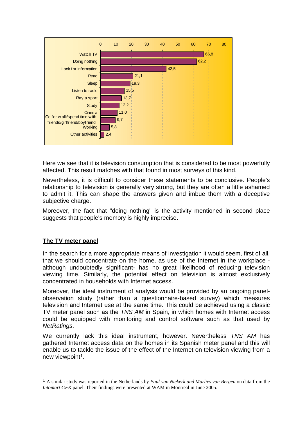

Here we see that it is television consumption that is considered to be most powerfully affected. This result matches with that found in most surveys of this kind.

Nevertheless, it is difficult to consider these statements to be conclusive. People's relationship to television is generally very strong, but they are often a little ashamed to admit it. This can shape the answers given and imbue them with a deceptive subjective charge.

Moreover, the fact that "doing nothing" is the activity mentioned in second place suggests that people's memory is highly imprecise.

# **The TV meter panel**

 $\overline{a}$ 

In the search for a more appropriate means of investigation it would seem, first of all, that we should concentrate on the home, as use of the Internet in the workplace although undoubtedly significant- has no great likelihood of reducing television viewing time. Similarly, the potential effect on television is almost exclusively concentrated in households with Internet access.

Moreover, the ideal instrument of analysis would be provided by an ongoing panelobservation study (rather than a questionnaire-based survey) which measures television and Internet use at the same time. This could be achieved using a classic TV meter panel such as the *TNS AM* in Spain, in which homes with Internet access could be equipped with monitoring and control software such as that used by *NetRatings*.

We currently lack this ideal instrument, however. Nevertheless *TNS AM* has gathered Internet access data on the homes in its Spanish meter panel and this will enable us to tackle the issue of the effect of the Internet on television viewing from a new viewpoint<sup>1</sup>.

<sup>1</sup> A similar study was reported in the Netherlands by *Paul van Niekerk and Marlies van Bergen* on data from the *Intomart GFK* panel. Their findings were presented at WAM in Montreal in June 2005.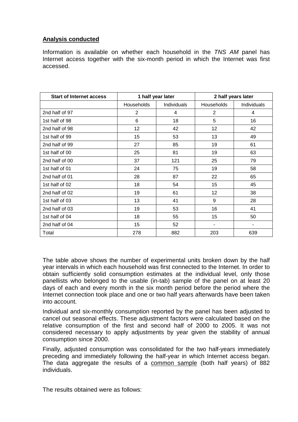# **Analysis conducted**

Information is available on whether each household in the *TNS AM* panel has Internet access together with the six-month period in which the Internet was first accessed.

| <b>Start of Internet access</b> | 1 half year later |             | 2 half years later |             |
|---------------------------------|-------------------|-------------|--------------------|-------------|
|                                 | Households        | Individuals | Households         | Individuals |
| 2nd half of 97                  | 2                 | 4           | 2                  | 4           |
| 1st half of 98                  | 6                 | 18          | 5                  | 16          |
| 2nd half of 98                  | 12                | 42          | 12                 | 42          |
| 1st half of 99                  | 15                | 53          | 13                 | 49          |
| 2nd half of 99                  | 27                | 85          | 19                 | 61          |
| 1st half of 00                  | 25                | 81          | 19                 | 63          |
| 2nd half of 00                  | 37                | 121         | 25                 | 79          |
| 1st half of 01                  | 24                | 75          | 19                 | 58          |
| 2nd half of 01                  | 28                | 87          | 22                 | 65          |
| 1st half of 02                  | 18                | 54          | 15                 | 45          |
| 2nd half of 02                  | 19                | 61          | 12                 | 38          |
| 1st half of 03                  | 13                | 41          | 9                  | 28          |
| 2nd half of 03                  | 19                | 53          | 16                 | 41          |
| 1st half of 04                  | 18                | 55          | 15                 | 50          |
| 2nd half of 04                  | 15                | 52          |                    | ٠           |
| Total                           | 278               | 882         | 203                | 639         |

The table above shows the number of experimental units broken down by the half year intervals in which each household was first connected to the Internet. In order to obtain sufficiently solid consumption estimates at the individual level, only those panellists who belonged to the usable (in-tab) sample of the panel on at least 20 days of each and every month in the six month period before the period where the Internet connection took place and one or two half years afterwards have been taken into account.

Individual and six-monthly consumption reported by the panel has been adjusted to cancel out seasonal effects. These adjustment factors were calculated based on the relative consumption of the first and second half of 2000 to 2005. It was not considered necessary to apply adjustments by year given the stability of annual consumption since 2000.

Finally, adjusted consumption was consolidated for the two half-years immediately preceding and immediately following the half-year in which Internet access began. The data aggregate the results of a common sample (both half years) of 882 individuals.

The results obtained were as follows: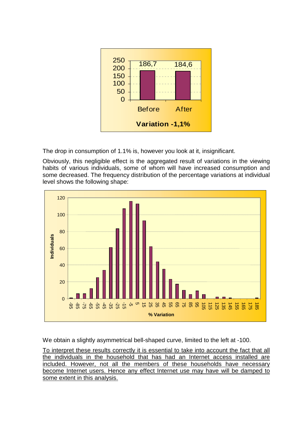

The drop in consumption of 1.1% is, however you look at it, insignificant.

Obviously, this negligible effect is the aggregated result of variations in the viewing habits of various individuals, some of whom will have increased consumption and some decreased. The frequency distribution of the percentage variations at individual level shows the following shape:



We obtain a slightly asymmetrical bell-shaped curve, limited to the left at -100.

To interpret these results correctly it is essential to take into account the fact that all the individuals in the household that has had an Internet access installed are included. However, not all the members of these households have necessary become Internet users. Hence any effect Internet use may have will be damped to some extent in this analysis.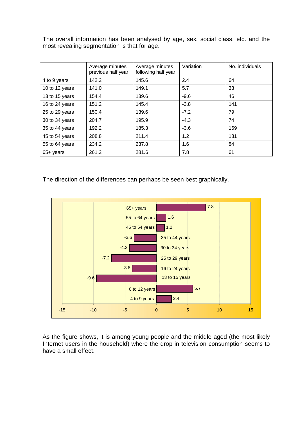The overall information has been analysed by age, sex, social class, etc. and the most revealing segmentation is that for age.

|                | Average minutes<br>previous half year | Average minutes<br>following half year | Variation | No. individuals |
|----------------|---------------------------------------|----------------------------------------|-----------|-----------------|
| 4 to 9 years   | 142.2                                 | 145.6                                  | 2.4       | 64              |
| 10 to 12 years | 141.0                                 | 149.1                                  | 5.7       | 33              |
| 13 to 15 years | 154.4                                 | 139.6                                  | $-9.6$    | 46              |
| 16 to 24 years | 151.2                                 | 145.4                                  | $-3.8$    | 141             |
| 25 to 29 years | 150.4                                 | 139.6                                  | $-7.2$    | 79              |
| 30 to 34 years | 204.7                                 | 195.9                                  | $-4.3$    | 74              |
| 35 to 44 years | 192.2                                 | 185.3                                  | $-3.6$    | 169             |
| 45 to 54 years | 208.8                                 | 211.4                                  | 1.2       | 131             |
| 55 to 64 years | 234.2                                 | 237.8                                  | 1.6       | 84              |
| 65+ years      | 261.2                                 | 281.6                                  | 7.8       | 61              |

The direction of the differences can perhaps be seen best graphically.



As the figure shows, it is among young people and the middle aged (the most likely Internet users in the household) where the drop in television consumption seems to have a small effect.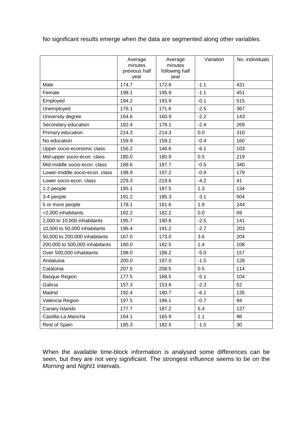No significant results emerge when the data are segmented along other variables.

|                                | Average<br>minutes<br>previous half<br>year | Average<br>minutes<br>following half<br>year | Variation | No. individuals |
|--------------------------------|---------------------------------------------|----------------------------------------------|-----------|-----------------|
| Male                           | 174.7                                       | 172.8                                        | $-1.1$    | 431             |
| Female                         | 198.1                                       | 195.9                                        | $-1.1$    | 451             |
| Employed                       | 194.2                                       | 193.9                                        | $-0.1$    | 515             |
| Unemployed                     | 176.1                                       | 171.6                                        | $-2.5$    | 367             |
| University degree              | 164.6                                       | 160.9                                        | $-2.2$    | 143             |
| Secondary education            | 182.4                                       | 178.1                                        | $-2.4$    | 269             |
| Primary education              | 214.3                                       | 214.3                                        | 0.0       | 310             |
| No education                   | 159.9                                       | 159.2                                        | $-0.4$    | 160             |
| Upper socio-economic class     | 156.2                                       | 146.6                                        | $-6.1$    | 103             |
| Mid-upper socio-econ. class    | 180.0                                       | 180.9                                        | 0.5       | 219             |
| Mid-middle socio-econ. class   | 188.6                                       | 187.7                                        | $-0.5$    | 340             |
| Lower-middle socio-econ. class | 198.9                                       | 197.2                                        | $-0.9$    | 179             |
| Lower socio-econ. class        | 229.3                                       | 219.6                                        | $-4.2$    | 41              |
| 1-2 people                     | 185.1                                       | 187.5                                        | 1.3       | 134             |
| 3-4 people                     | 191.2                                       | 185.3                                        | $-3.1$    | 504             |
| 5 or more people               | 178.1                                       | 181.6                                        | 1.9       | 244             |
| <2,000 inhabitants             | 182.2                                       | 182.2                                        | 0.0       | 69              |
| 2,000 to 10,000 inhabitants    | 195.7                                       | 190.8                                        | $-2.5$    | 141             |
| 10,000 to 50,000 inhabitants   | 196.4                                       | 191.2                                        | $-2.7$    | 203             |
| 50,000 to 200,000 inhabitants  | 167.0                                       | 173.0                                        | 3.6       | 204             |
| 200,000 to 500,000 inhabitants | 180.0                                       | 182.5                                        | 1.4       | 108             |
| Over 500,000 inhabitants       | 198.0                                       | 188.2                                        | $-5.0$    | 157             |
| Andalusia                      | 200.0                                       | 197.0                                        | $-1.5$    | 128             |
| Catalonia                      | 207.5                                       | 208.5                                        | 0.5       | 114             |
| Basque Region                  | 177.5                                       | 168.5                                        | $-5.1$    | 104             |
| Galicia                        | 157.3                                       | 153.8                                        | $-2.3$    | 52              |
| Madrid                         | 192.4                                       | 180.7                                        | $-6.1$    | 135             |
| Valencia Region                | 197.5                                       | 196.1                                        | $-0.7$    | 94              |
| Canary Islands                 | 177.7                                       | 187.2                                        | 5.4       | 127             |
| Castilla-La Mancha             | 164.1                                       | 165.9                                        | 1.1       | 98              |
| Rest of Spain                  | 185.3                                       | 182.5                                        | $-1.5$    | 30              |

When the available time-block information is analysed some differences can be seen, but they are not very significant. The strongest influence seems to be on the *Morning* and *Night1* intervals.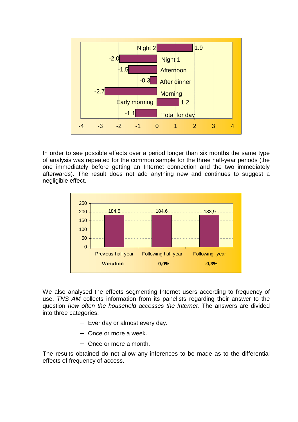

In order to see possible effects over a period longer than six months the same type of analysis was repeated for the common sample for the three half-year periods (the one immediately before getting an Internet connection and the two immediately afterwards). The result does not add anything new and continues to suggest a negligible effect.



We also analysed the effects segmenting Internet users according to frequency of use. *TNS AM* collects information from its panelists regarding their answer to the question *how often the household accesses the Internet.* The answers are divided into three categories:

- − Ever day or almost every day.
- − Once or more a week.
- − Once or more a month.

The results obtained do not allow any inferences to be made as to the differential effects of frequency of access.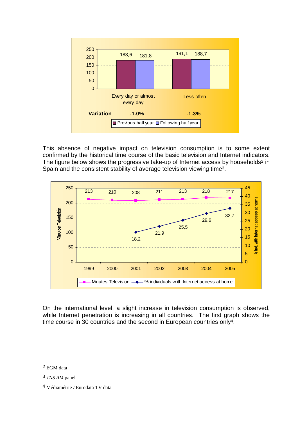

This absence of negative impact on television consumption is to some extent confirmed by the historical time course of the basic television and Internet indicators. The figure below shows the progressive take-up of Internet access by households<sup>2</sup> in Spain and the consistent stability of average television viewing time3.



On the international level, a slight increase in television consumption is observed, while Internet penetration is increasing in all countries. The first graph shows the time course in 30 countries and the second in European countries only<sup>4</sup>.

 $\overline{a}$ 

<sup>2</sup> EGM data

<sup>3</sup> *TNS AM* panel

<sup>4</sup> Médiamétrie / Eurodata TV data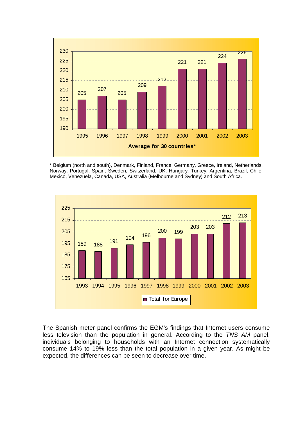

\* Belgium (north and south), Denmark, Finland, France, Germany, Greece, Ireland, Netherlands, Norway, Portugal, Spain, Sweden, Switzerland, UK, Hungary, Turkey, Argentina, Brazil, Chile, Mexico, Venezuela, Canada, USA, Australia (Melbourne and Sydney) and South Africa.



The Spanish meter panel confirms the EGM's findings that Internet users consume less television than the population in general. According to the *TNS AM* panel, individuals belonging to households with an Internet connection systematically consume 14% to 19% less than the total population in a given year. As might be expected, the differences can be seen to decrease over time.